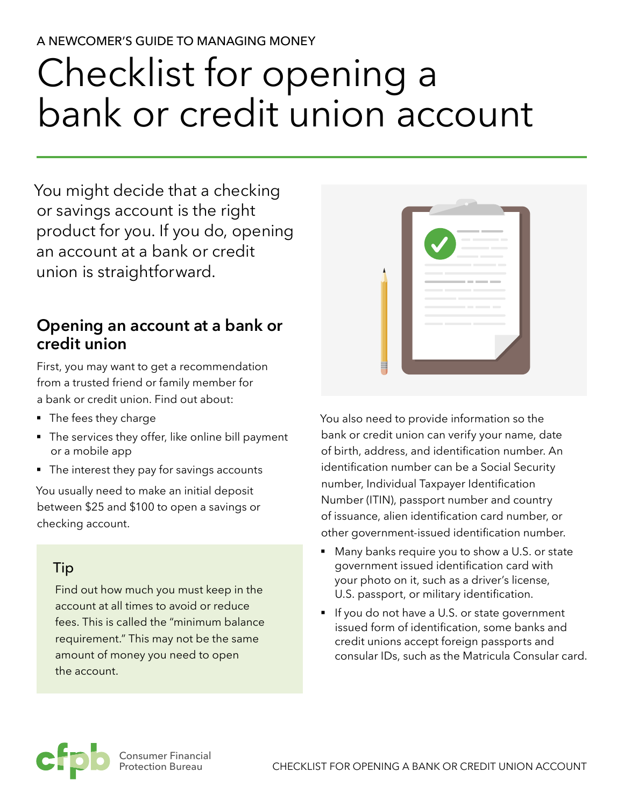#### A NEWCOMER'S GUIDE TO MANAGING MONEY

# Checklist for opening a bank or credit union account

You might decide that a checking or savings account is the right product for you. If you do, opening an account at a bank or credit union is straightforward.

# **Opening an account at a bank or credit union**

First, you may want to get a recommendation from a trusted friend or family member for a bank or credit union. Find out about:

- The fees they charge
- The services they offer, like online bill payment or a mobile app
- The interest they pay for savings accounts

You usually need to make an initial deposit between \$25 and \$100 to open a savings or checking account.

### Tip

Find out how much you must keep in the account at all times to avoid or reduce fees. This is called the "minimum balance requirement." This may not be the same amount of money you need to open the account.



You also need to provide information so the bank or credit union can verify your name, date of birth, address, and identification number. An identification number can be a Social Security number, Individual Taxpayer Identification Number (ITIN), passport number and country of issuance, alien identification card number, or other government-issued identification number.

- § Many banks require you to show a U.S. or state government issued identification card with your photo on it, such as a driver's license, U.S. passport, or military identification.
- If you do not have a U.S. or state government issued form of identification, some banks and credit unions accept foreign passports and consular IDs, such as the Matricula Consular card.

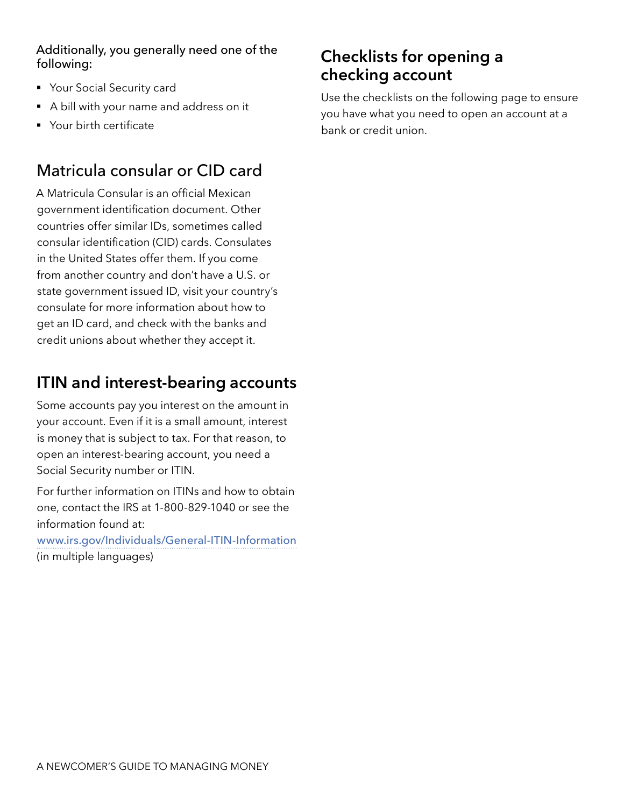#### Additionally, you generally need one of the following:

- Your Social Security card
- A bill with your name and address on it
- Your birth certificate

## Matricula consular or CID card

A Matricula Consular is an official Mexican government identification document. Other countries offer similar IDs, sometimes called consular identification (CID) cards. Consulates in the United States offer them. If you come from another country and don't have a U.S. or state government issued ID, visit your country's consulate for more information about how to get an ID card, and check with the banks and credit unions about whether they accept it.

# **ITIN and interest-bearing accounts**

Some accounts pay you interest on the amount in your account. Even if it is a small amount, interest is money that is subject to tax. For that reason, to open an interest-bearing account, you need a Social Security number or ITIN.

For further information on ITINs and how to obtain one, contact the IRS at 1-800-829-1040 or see the information found at:

[www.irs.gov/Individuals/General-ITIN-Information](http://www.irs.gov/Individuals/General-ITIN-Information) (in multiple languages)

# **Checklists for opening a checking account**

Use the checklists on the following page to ensure you have what you need to open an account at a bank or credit union.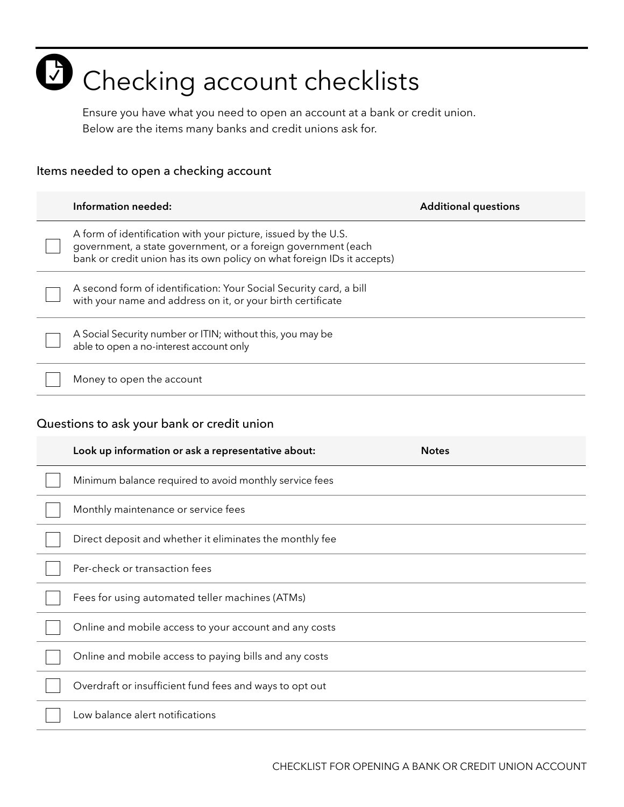# **C** Checking account checklists

Ensure you have what you need to open an account at a bank or credit union. Below are the items many banks and credit unions ask for.

#### Items needed to open a checking account

|                                            | Information needed:                                                                                                                                                                                        | <b>Additional questions</b> |
|--------------------------------------------|------------------------------------------------------------------------------------------------------------------------------------------------------------------------------------------------------------|-----------------------------|
|                                            | A form of identification with your picture, issued by the U.S.<br>government, a state government, or a foreign government (each<br>bank or credit union has its own policy on what foreign IDs it accepts) |                             |
|                                            | A second form of identification: Your Social Security card, a bill<br>with your name and address on it, or your birth certificate                                                                          |                             |
|                                            | A Social Security number or ITIN; without this, you may be<br>able to open a no-interest account only                                                                                                      |                             |
|                                            | Money to open the account                                                                                                                                                                                  |                             |
| Questions to ask your bank or credit union |                                                                                                                                                                                                            |                             |
|                                            | Look up information or ask a representative about:                                                                                                                                                         | <b>Notes</b>                |
|                                            | Minimum balance required to avoid monthly service fees                                                                                                                                                     |                             |
|                                            | Monthly maintenance or service fees                                                                                                                                                                        |                             |
|                                            | Direct deposit and whether it eliminates the monthly fee                                                                                                                                                   |                             |
|                                            | Per-check or transaction fees                                                                                                                                                                              |                             |
|                                            | Fees for using automated teller machines (ATMs)                                                                                                                                                            |                             |
|                                            | Online and mobile access to your account and any costs                                                                                                                                                     |                             |
|                                            | Online and mobile access to paying bills and any costs                                                                                                                                                     |                             |
|                                            | Overdraft or insufficient fund fees and ways to opt out                                                                                                                                                    |                             |
|                                            | Low balance alert notifications                                                                                                                                                                            |                             |